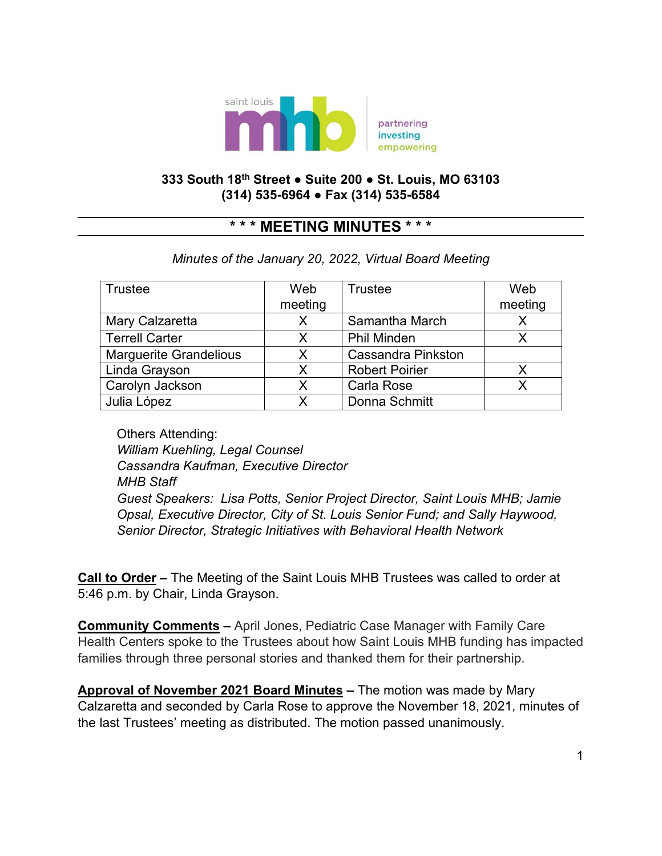

## **333 South 18th Street ● Suite 200 ● St. Louis, MO 63103 (314) 535-6964 ● Fax (314) 535-6584**

## **\* \* \* MEETING MINUTES \* \* \***

## *Minutes of the January 20, 2022, Virtual Board Meeting*

| <b>Trustee</b>                | Web     | Trustee                   | Web     |
|-------------------------------|---------|---------------------------|---------|
|                               | meeting |                           | meeting |
| Mary Calzaretta               | X       | Samantha March            |         |
| <b>Terrell Carter</b>         | X       | <b>Phil Minden</b>        |         |
| <b>Marguerite Grandelious</b> | X       | <b>Cassandra Pinkston</b> |         |
| Linda Grayson                 | Х       | <b>Robert Poirier</b>     |         |
| Carolyn Jackson               | X       | Carla Rose                |         |
| Julia López                   | Х       | Donna Schmitt             |         |

Others Attending: *William Kuehling, Legal Counsel Cassandra Kaufman, Executive Director MHB Staff Guest Speakers: Lisa Potts, Senior Project Director, Saint Louis MHB; Jamie Opsal, Executive Director, City of St. Louis Senior Fund; and Sally Haywood, Senior Director, Strategic Initiatives with Behavioral Health Network*

**Call to Order –** The Meeting of the Saint Louis MHB Trustees was called to order at 5:46 p.m. by Chair, Linda Grayson.

**Community Comments –** April Jones, Pediatric Case Manager with Family Care Health Centers spoke to the Trustees about how Saint Louis MHB funding has impacted families through three personal stories and thanked them for their partnership.

**Approval of November 2021 Board Minutes –** The motion was made by Mary Calzaretta and seconded by Carla Rose to approve the November 18, 2021, minutes of the last Trustees' meeting as distributed. The motion passed unanimously.